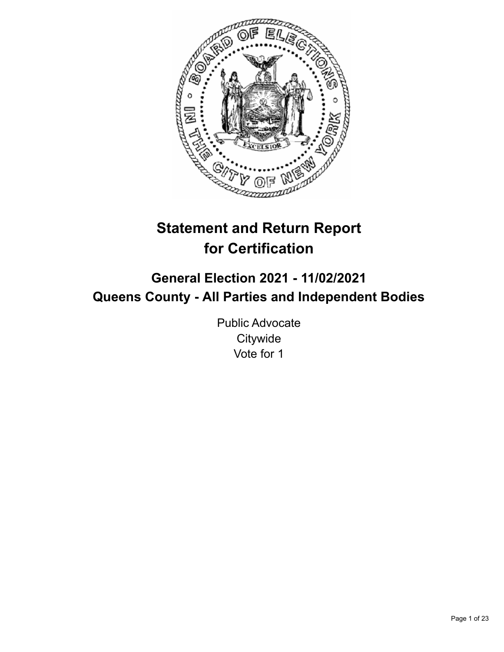

# **Statement and Return Report for Certification**

# **General Election 2021 - 11/02/2021 Queens County - All Parties and Independent Bodies**

Public Advocate **Citywide** Vote for 1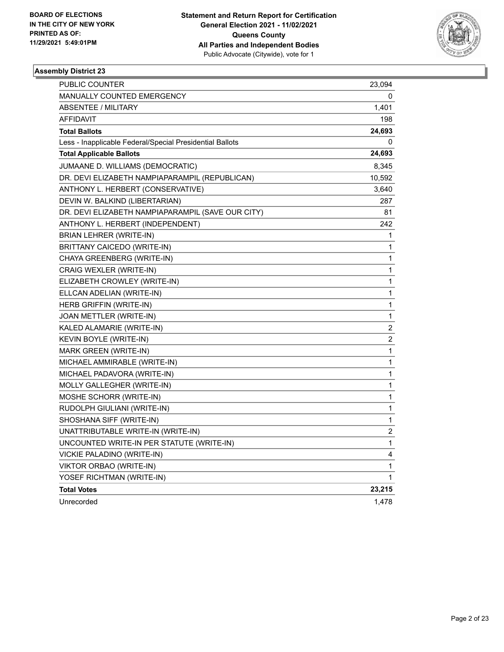

| PUBLIC COUNTER                                           | 23,094         |
|----------------------------------------------------------|----------------|
| <b>MANUALLY COUNTED EMERGENCY</b>                        | 0              |
| <b>ABSENTEE / MILITARY</b>                               | 1,401          |
| <b>AFFIDAVIT</b>                                         | 198            |
| <b>Total Ballots</b>                                     | 24,693         |
| Less - Inapplicable Federal/Special Presidential Ballots | 0              |
| <b>Total Applicable Ballots</b>                          | 24,693         |
| JUMAANE D. WILLIAMS (DEMOCRATIC)                         | 8,345          |
| DR. DEVI ELIZABETH NAMPIAPARAMPIL (REPUBLICAN)           | 10,592         |
| ANTHONY L. HERBERT (CONSERVATIVE)                        | 3,640          |
| DEVIN W. BALKIND (LIBERTARIAN)                           | 287            |
| DR. DEVI ELIZABETH NAMPIAPARAMPIL (SAVE OUR CITY)        | 81             |
| ANTHONY L. HERBERT (INDEPENDENT)                         | 242            |
| BRIAN LEHRER (WRITE-IN)                                  | 1              |
| BRITTANY CAICEDO (WRITE-IN)                              | 1              |
| CHAYA GREENBERG (WRITE-IN)                               | 1              |
| CRAIG WEXLER (WRITE-IN)                                  | 1              |
| ELIZABETH CROWLEY (WRITE-IN)                             | 1              |
| ELLCAN ADELIAN (WRITE-IN)                                | 1              |
| HERB GRIFFIN (WRITE-IN)                                  | 1              |
| JOAN METTLER (WRITE-IN)                                  | 1              |
| KALED ALAMARIE (WRITE-IN)                                | $\overline{c}$ |
| KEVIN BOYLE (WRITE-IN)                                   | $\overline{c}$ |
| MARK GREEN (WRITE-IN)                                    | 1              |
| MICHAEL AMMIRABLE (WRITE-IN)                             | 1              |
| MICHAEL PADAVORA (WRITE-IN)                              | 1              |
| MOLLY GALLEGHER (WRITE-IN)                               | 1              |
| MOSHE SCHORR (WRITE-IN)                                  | 1              |
| RUDOLPH GIULIANI (WRITE-IN)                              | 1              |
| SHOSHANA SIFF (WRITE-IN)                                 | 1              |
| UNATTRIBUTABLE WRITE-IN (WRITE-IN)                       | 2              |
| UNCOUNTED WRITE-IN PER STATUTE (WRITE-IN)                | 1              |
| VICKIE PALADINO (WRITE-IN)                               | 4              |
| <b>VIKTOR ORBAO (WRITE-IN)</b>                           | 1              |
| YOSEF RICHTMAN (WRITE-IN)                                | 1              |
| <b>Total Votes</b>                                       | 23,215         |
| Unrecorded                                               | 1,478          |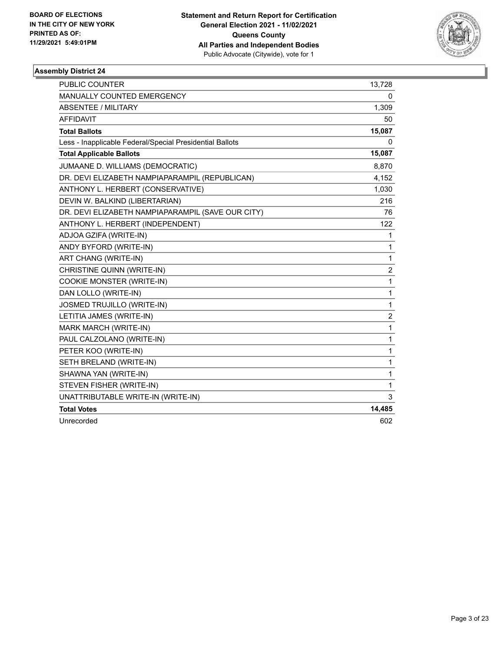

| <b>PUBLIC COUNTER</b>                                    | 13,728         |
|----------------------------------------------------------|----------------|
| <b>MANUALLY COUNTED EMERGENCY</b>                        | 0              |
| <b>ABSENTEE / MILITARY</b>                               | 1,309          |
| <b>AFFIDAVIT</b>                                         | 50             |
| <b>Total Ballots</b>                                     | 15,087         |
| Less - Inapplicable Federal/Special Presidential Ballots | 0              |
| <b>Total Applicable Ballots</b>                          | 15,087         |
| JUMAANE D. WILLIAMS (DEMOCRATIC)                         | 8,870          |
| DR. DEVI ELIZABETH NAMPIAPARAMPIL (REPUBLICAN)           | 4,152          |
| ANTHONY L. HERBERT (CONSERVATIVE)                        | 1,030          |
| DEVIN W. BALKIND (LIBERTARIAN)                           | 216            |
| DR. DEVI ELIZABETH NAMPIAPARAMPIL (SAVE OUR CITY)        | 76             |
| ANTHONY L. HERBERT (INDEPENDENT)                         | 122            |
| ADJOA GZIFA (WRITE-IN)                                   | 1              |
| ANDY BYFORD (WRITE-IN)                                   | 1              |
| ART CHANG (WRITE-IN)                                     | 1              |
| CHRISTINE QUINN (WRITE-IN)                               | $\overline{c}$ |
| COOKIE MONSTER (WRITE-IN)                                | 1              |
| DAN LOLLO (WRITE-IN)                                     | 1              |
| JOSMED TRUJILLO (WRITE-IN)                               | 1              |
| LETITIA JAMES (WRITE-IN)                                 | $\overline{c}$ |
| MARK MARCH (WRITE-IN)                                    | 1              |
| PAUL CALZOLANO (WRITE-IN)                                | 1              |
| PETER KOO (WRITE-IN)                                     | 1              |
| SETH BRELAND (WRITE-IN)                                  | 1              |
| SHAWNA YAN (WRITE-IN)                                    | 1              |
| STEVEN FISHER (WRITE-IN)                                 | 1              |
| UNATTRIBUTABLE WRITE-IN (WRITE-IN)                       | 3              |
| <b>Total Votes</b>                                       | 14,485         |
| Unrecorded                                               | 602            |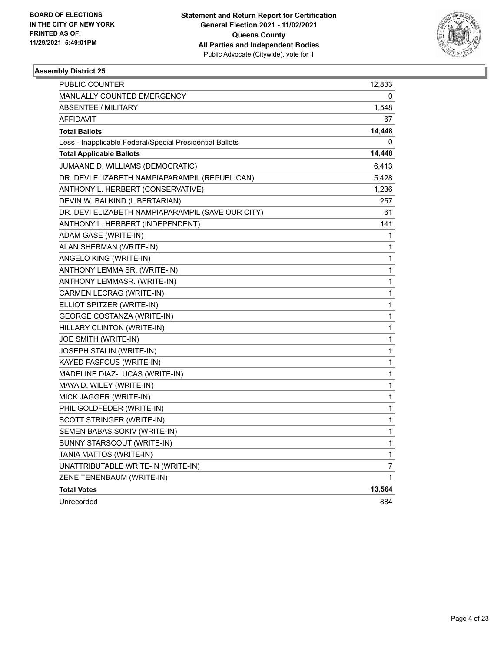

| PUBLIC COUNTER                                           | 12,833 |
|----------------------------------------------------------|--------|
| <b>MANUALLY COUNTED EMERGENCY</b>                        | 0      |
| <b>ABSENTEE / MILITARY</b>                               | 1,548  |
| AFFIDAVIT                                                | 67     |
| <b>Total Ballots</b>                                     | 14,448 |
| Less - Inapplicable Federal/Special Presidential Ballots | 0      |
| <b>Total Applicable Ballots</b>                          | 14,448 |
| JUMAANE D. WILLIAMS (DEMOCRATIC)                         | 6,413  |
| DR. DEVI ELIZABETH NAMPIAPARAMPIL (REPUBLICAN)           | 5,428  |
| ANTHONY L. HERBERT (CONSERVATIVE)                        | 1,236  |
| DEVIN W. BALKIND (LIBERTARIAN)                           | 257    |
| DR. DEVI ELIZABETH NAMPIAPARAMPIL (SAVE OUR CITY)        | 61     |
| ANTHONY L. HERBERT (INDEPENDENT)                         | 141    |
| ADAM GASE (WRITE-IN)                                     | 1      |
| ALAN SHERMAN (WRITE-IN)                                  | 1      |
| ANGELO KING (WRITE-IN)                                   | 1      |
| ANTHONY LEMMA SR. (WRITE-IN)                             | 1      |
| ANTHONY LEMMASR. (WRITE-IN)                              | 1      |
| CARMEN LECRAG (WRITE-IN)                                 | 1      |
| ELLIOT SPITZER (WRITE-IN)                                | 1      |
| GEORGE COSTANZA (WRITE-IN)                               | 1      |
| HILLARY CLINTON (WRITE-IN)                               | 1      |
| JOE SMITH (WRITE-IN)                                     | 1      |
| JOSEPH STALIN (WRITE-IN)                                 | 1      |
| KAYED FASFOUS (WRITE-IN)                                 | 1      |
| MADELINE DIAZ-LUCAS (WRITE-IN)                           | 1      |
| MAYA D. WILEY (WRITE-IN)                                 | 1      |
| MICK JAGGER (WRITE-IN)                                   | 1      |
| PHIL GOLDFEDER (WRITE-IN)                                | 1      |
| SCOTT STRINGER (WRITE-IN)                                | 1      |
| SEMEN BABASISOKIV (WRITE-IN)                             | 1      |
| SUNNY STARSCOUT (WRITE-IN)                               | 1      |
| TANIA MATTOS (WRITE-IN)                                  | 1      |
| UNATTRIBUTABLE WRITE-IN (WRITE-IN)                       | 7      |
| ZENE TENENBAUM (WRITE-IN)                                | 1      |
| <b>Total Votes</b>                                       | 13,564 |
| Unrecorded                                               | 884    |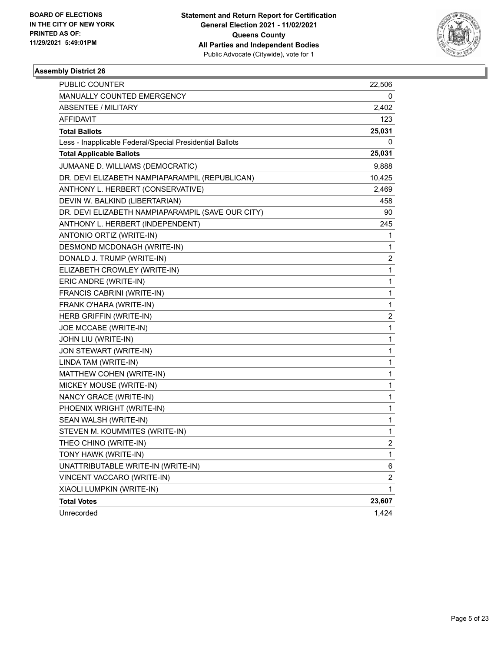

| PUBLIC COUNTER                                           | 22,506         |
|----------------------------------------------------------|----------------|
| MANUALLY COUNTED EMERGENCY                               | 0              |
| <b>ABSENTEE / MILITARY</b>                               | 2,402          |
| AFFIDAVIT                                                | 123            |
| <b>Total Ballots</b>                                     | 25,031         |
| Less - Inapplicable Federal/Special Presidential Ballots | 0              |
| <b>Total Applicable Ballots</b>                          | 25,031         |
| JUMAANE D. WILLIAMS (DEMOCRATIC)                         | 9,888          |
| DR. DEVI ELIZABETH NAMPIAPARAMPIL (REPUBLICAN)           | 10,425         |
| ANTHONY L. HERBERT (CONSERVATIVE)                        | 2,469          |
| DEVIN W. BALKIND (LIBERTARIAN)                           | 458            |
| DR. DEVI ELIZABETH NAMPIAPARAMPIL (SAVE OUR CITY)        | 90             |
| ANTHONY L. HERBERT (INDEPENDENT)                         | 245            |
| ANTONIO ORTIZ (WRITE-IN)                                 | 1              |
| DESMOND MCDONAGH (WRITE-IN)                              | 1              |
| DONALD J. TRUMP (WRITE-IN)                               | 2              |
| ELIZABETH CROWLEY (WRITE-IN)                             | 1              |
| ERIC ANDRE (WRITE-IN)                                    | 1              |
| FRANCIS CABRINI (WRITE-IN)                               | 1              |
| FRANK O'HARA (WRITE-IN)                                  | 1              |
| HERB GRIFFIN (WRITE-IN)                                  | 2              |
| JOE MCCABE (WRITE-IN)                                    | 1              |
| JOHN LIU (WRITE-IN)                                      | 1              |
| JON STEWART (WRITE-IN)                                   | 1              |
| LINDA TAM (WRITE-IN)                                     | 1              |
| MATTHEW COHEN (WRITE-IN)                                 | 1              |
| MICKEY MOUSE (WRITE-IN)                                  | 1              |
| NANCY GRACE (WRITE-IN)                                   | 1              |
| PHOENIX WRIGHT (WRITE-IN)                                | 1              |
| SEAN WALSH (WRITE-IN)                                    | 1              |
| STEVEN M. KOUMMITES (WRITE-IN)                           | 1              |
| THEO CHINO (WRITE-IN)                                    | $\overline{c}$ |
| TONY HAWK (WRITE-IN)                                     | 1              |
| UNATTRIBUTABLE WRITE-IN (WRITE-IN)                       | 6              |
| VINCENT VACCARO (WRITE-IN)                               | $\overline{c}$ |
| XIAOLI LUMPKIN (WRITE-IN)                                | 1              |
| <b>Total Votes</b>                                       | 23,607         |
| Unrecorded                                               | 1,424          |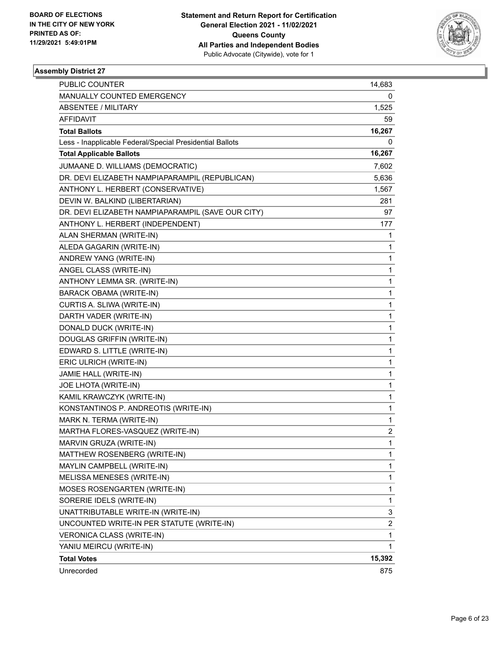

| <b>PUBLIC COUNTER</b>                                    | 14,683       |
|----------------------------------------------------------|--------------|
| MANUALLY COUNTED EMERGENCY                               | 0            |
| <b>ABSENTEE / MILITARY</b>                               | 1,525        |
| AFFIDAVIT                                                | 59           |
| <b>Total Ballots</b>                                     | 16,267       |
| Less - Inapplicable Federal/Special Presidential Ballots | 0            |
| <b>Total Applicable Ballots</b>                          | 16,267       |
| JUMAANE D. WILLIAMS (DEMOCRATIC)                         | 7,602        |
| DR. DEVI ELIZABETH NAMPIAPARAMPIL (REPUBLICAN)           | 5,636        |
| ANTHONY L. HERBERT (CONSERVATIVE)                        | 1,567        |
| DEVIN W. BALKIND (LIBERTARIAN)                           | 281          |
| DR. DEVI ELIZABETH NAMPIAPARAMPIL (SAVE OUR CITY)        | 97           |
| ANTHONY L. HERBERT (INDEPENDENT)                         | 177          |
| ALAN SHERMAN (WRITE-IN)                                  | 1            |
| ALEDA GAGARIN (WRITE-IN)                                 | 1            |
| ANDREW YANG (WRITE-IN)                                   | $\mathbf{1}$ |
| ANGEL CLASS (WRITE-IN)                                   | 1            |
| ANTHONY LEMMA SR. (WRITE-IN)                             | 1            |
| <b>BARACK OBAMA (WRITE-IN)</b>                           | $\mathbf{1}$ |
| CURTIS A. SLIWA (WRITE-IN)                               | 1            |
| DARTH VADER (WRITE-IN)                                   | $\mathbf{1}$ |
| DONALD DUCK (WRITE-IN)                                   | $\mathbf{1}$ |
| DOUGLAS GRIFFIN (WRITE-IN)                               | 1            |
| EDWARD S. LITTLE (WRITE-IN)                              | 1            |
| ERIC ULRICH (WRITE-IN)                                   | $\mathbf{1}$ |
| JAMIE HALL (WRITE-IN)                                    | 1            |
| JOE LHOTA (WRITE-IN)                                     | $\mathbf{1}$ |
| KAMIL KRAWCZYK (WRITE-IN)                                | $\mathbf{1}$ |
| KONSTANTINOS P. ANDREOTIS (WRITE-IN)                     | 1            |
| MARK N. TERMA (WRITE-IN)                                 | 1            |
| MARTHA FLORES-VASQUEZ (WRITE-IN)                         | 2            |
| MARVIN GRUZA (WRITE-IN)                                  | 1            |
| MATTHEW ROSENBERG (WRITE-IN)                             | $\mathbf{1}$ |
| MAYLIN CAMPBELL (WRITE-IN)                               | 1            |
| MELISSA MENESES (WRITE-IN)                               | $\mathbf{1}$ |
| MOSES ROSENGARTEN (WRITE-IN)                             | $\mathbf{1}$ |
| SORERIE IDELS (WRITE-IN)                                 | $\mathbf{1}$ |
| UNATTRIBUTABLE WRITE-IN (WRITE-IN)                       | 3            |
| UNCOUNTED WRITE-IN PER STATUTE (WRITE-IN)                | 2            |
| VERONICA CLASS (WRITE-IN)                                | 1            |
| YANIU MEIRCU (WRITE-IN)                                  | 1            |
| <b>Total Votes</b>                                       | 15,392       |
| Unrecorded                                               | 875          |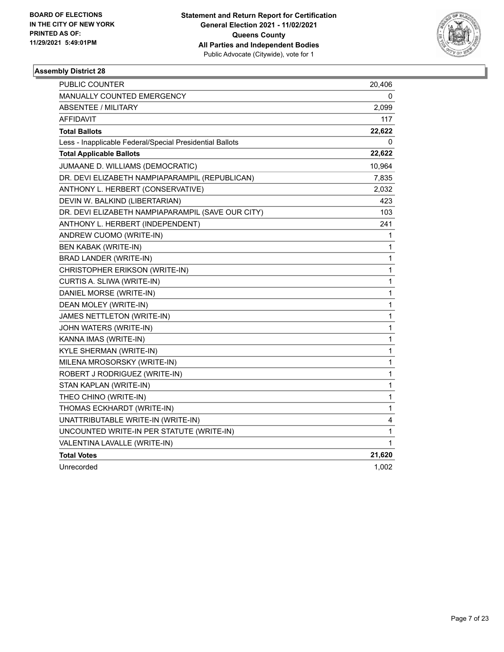

| <b>PUBLIC COUNTER</b>                                    | 20,406       |
|----------------------------------------------------------|--------------|
| MANUALLY COUNTED EMERGENCY                               | 0            |
| ABSENTEE / MILITARY                                      | 2,099        |
| <b>AFFIDAVIT</b>                                         | 117          |
| <b>Total Ballots</b>                                     | 22,622       |
| Less - Inapplicable Federal/Special Presidential Ballots | 0            |
| <b>Total Applicable Ballots</b>                          | 22,622       |
| JUMAANE D. WILLIAMS (DEMOCRATIC)                         | 10,964       |
| DR. DEVI ELIZABETH NAMPIAPARAMPIL (REPUBLICAN)           | 7,835        |
| ANTHONY L. HERBERT (CONSERVATIVE)                        | 2,032        |
| DEVIN W. BALKIND (LIBERTARIAN)                           | 423          |
| DR. DEVI ELIZABETH NAMPIAPARAMPIL (SAVE OUR CITY)        | 103          |
| ANTHONY L. HERBERT (INDEPENDENT)                         | 241          |
| ANDREW CUOMO (WRITE-IN)                                  | 1            |
| <b>BEN KABAK (WRITE-IN)</b>                              | 1            |
| BRAD LANDER (WRITE-IN)                                   | $\mathbf{1}$ |
| CHRISTOPHER ERIKSON (WRITE-IN)                           | 1            |
| CURTIS A. SLIWA (WRITE-IN)                               | 1            |
| DANIEL MORSE (WRITE-IN)                                  | 1            |
| DEAN MOLEY (WRITE-IN)                                    | 1            |
| JAMES NETTLETON (WRITE-IN)                               | $\mathbf{1}$ |
| JOHN WATERS (WRITE-IN)                                   | $\mathbf{1}$ |
| KANNA IMAS (WRITE-IN)                                    | 1            |
| <b>KYLE SHERMAN (WRITE-IN)</b>                           | 1            |
| MILENA MROSORSKY (WRITE-IN)                              | 1            |
| ROBERT J RODRIGUEZ (WRITE-IN)                            | $\mathbf{1}$ |
| STAN KAPLAN (WRITE-IN)                                   | $\mathbf{1}$ |
| THEO CHINO (WRITE-IN)                                    | 1            |
| THOMAS ECKHARDT (WRITE-IN)                               | 1            |
| UNATTRIBUTABLE WRITE-IN (WRITE-IN)                       | 4            |
| UNCOUNTED WRITE-IN PER STATUTE (WRITE-IN)                | 1            |
| VALENTINA LAVALLE (WRITE-IN)                             | 1            |
| <b>Total Votes</b>                                       | 21,620       |
| Unrecorded                                               | 1,002        |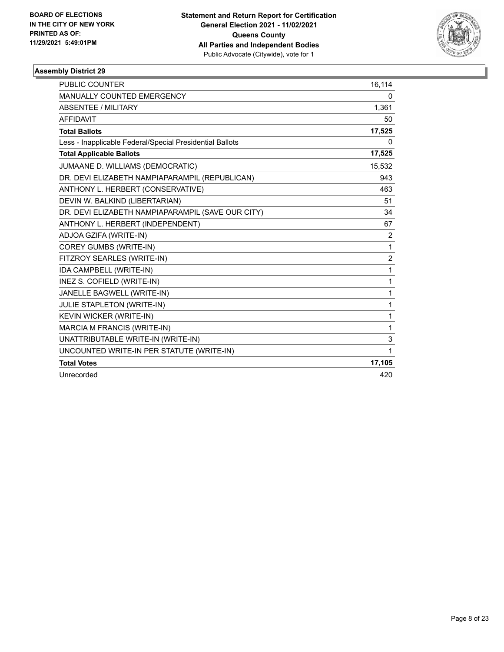

| <b>PUBLIC COUNTER</b>                                    | 16,114         |
|----------------------------------------------------------|----------------|
| <b>MANUALLY COUNTED EMERGENCY</b>                        | 0              |
| <b>ABSENTEE / MILITARY</b>                               | 1,361          |
| <b>AFFIDAVIT</b>                                         | 50             |
| <b>Total Ballots</b>                                     | 17,525         |
| Less - Inapplicable Federal/Special Presidential Ballots | 0              |
| <b>Total Applicable Ballots</b>                          | 17,525         |
| JUMAANE D. WILLIAMS (DEMOCRATIC)                         | 15,532         |
| DR. DEVI ELIZABETH NAMPIAPARAMPIL (REPUBLICAN)           | 943            |
| ANTHONY L. HERBERT (CONSERVATIVE)                        | 463            |
| DEVIN W. BALKIND (LIBERTARIAN)                           | 51             |
| DR. DEVI ELIZABETH NAMPIAPARAMPIL (SAVE OUR CITY)        | 34             |
| ANTHONY L. HERBERT (INDEPENDENT)                         | 67             |
| ADJOA GZIFA (WRITE-IN)                                   | $\overline{2}$ |
| <b>COREY GUMBS (WRITE-IN)</b>                            | 1              |
| FITZROY SEARLES (WRITE-IN)                               | $\overline{2}$ |
| IDA CAMPBELL (WRITE-IN)                                  | 1              |
| INEZ S. COFIELD (WRITE-IN)                               | 1              |
| JANELLE BAGWELL (WRITE-IN)                               | 1              |
| <b>JULIE STAPLETON (WRITE-IN)</b>                        | 1              |
| KEVIN WICKER (WRITE-IN)                                  | 1              |
| MARCIA M FRANCIS (WRITE-IN)                              | 1              |
| UNATTRIBUTABLE WRITE-IN (WRITE-IN)                       | 3              |
| UNCOUNTED WRITE-IN PER STATUTE (WRITE-IN)                | 1              |
| <b>Total Votes</b>                                       | 17,105         |
| Unrecorded                                               | 420            |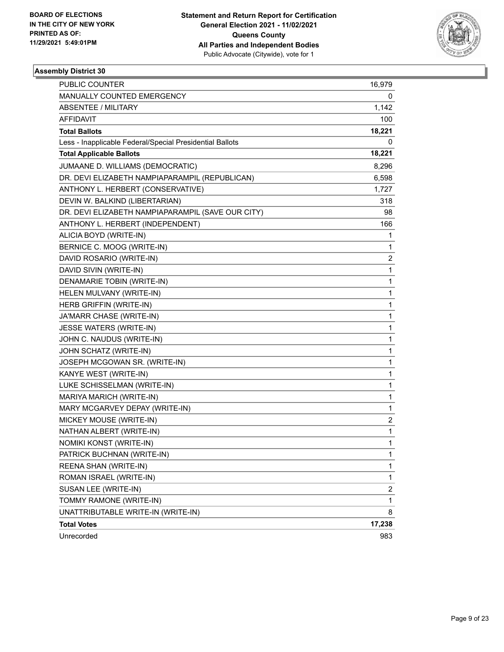

| <b>PUBLIC COUNTER</b>                                    | 16,979         |
|----------------------------------------------------------|----------------|
| MANUALLY COUNTED EMERGENCY                               | 0              |
| <b>ABSENTEE / MILITARY</b>                               | 1,142          |
| AFFIDAVIT                                                | 100            |
| <b>Total Ballots</b>                                     | 18,221         |
| Less - Inapplicable Federal/Special Presidential Ballots | 0              |
| <b>Total Applicable Ballots</b>                          | 18,221         |
| JUMAANE D. WILLIAMS (DEMOCRATIC)                         | 8,296          |
| DR. DEVI ELIZABETH NAMPIAPARAMPIL (REPUBLICAN)           | 6,598          |
| ANTHONY L. HERBERT (CONSERVATIVE)                        | 1,727          |
| DEVIN W. BALKIND (LIBERTARIAN)                           | 318            |
| DR. DEVI ELIZABETH NAMPIAPARAMPIL (SAVE OUR CITY)        | 98             |
| ANTHONY L. HERBERT (INDEPENDENT)                         | 166            |
| ALICIA BOYD (WRITE-IN)                                   | 1              |
| BERNICE C. MOOG (WRITE-IN)                               | 1              |
| DAVID ROSARIO (WRITE-IN)                                 | 2              |
| DAVID SIVIN (WRITE-IN)                                   | $\mathbf{1}$   |
| DENAMARIE TOBIN (WRITE-IN)                               | 1              |
| HELEN MULVANY (WRITE-IN)                                 | 1              |
| HERB GRIFFIN (WRITE-IN)                                  | 1              |
| JA'MARR CHASE (WRITE-IN)                                 | 1              |
| JESSE WATERS (WRITE-IN)                                  | 1              |
| JOHN C. NAUDUS (WRITE-IN)                                | 1              |
| JOHN SCHATZ (WRITE-IN)                                   | 1              |
| JOSEPH MCGOWAN SR. (WRITE-IN)                            | 1              |
| KANYE WEST (WRITE-IN)                                    | 1              |
| LUKE SCHISSELMAN (WRITE-IN)                              | 1              |
| MARIYA MARICH (WRITE-IN)                                 | 1              |
| MARY MCGARVEY DEPAY (WRITE-IN)                           | 1              |
| MICKEY MOUSE (WRITE-IN)                                  | 2              |
| NATHAN ALBERT (WRITE-IN)                                 | 1              |
| NOMIKI KONST (WRITE-IN)                                  | 1              |
| PATRICK BUCHNAN (WRITE-IN)                               | 1              |
| REENA SHAN (WRITE-IN)                                    | 1              |
| ROMAN ISRAEL (WRITE-IN)                                  | 1              |
| SUSAN LEE (WRITE-IN)                                     | $\overline{c}$ |
| TOMMY RAMONE (WRITE-IN)                                  | 1              |
| UNATTRIBUTABLE WRITE-IN (WRITE-IN)                       | 8              |
| <b>Total Votes</b>                                       | 17,238         |
| Unrecorded                                               | 983            |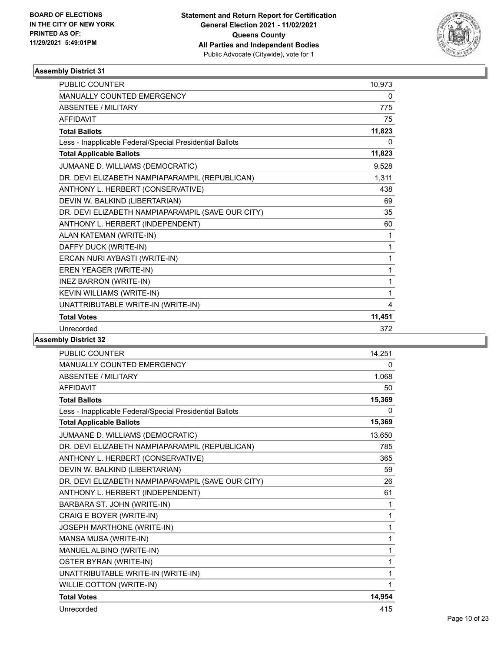

| PUBLIC COUNTER                                           | 10,973 |
|----------------------------------------------------------|--------|
| <b>MANUALLY COUNTED EMERGENCY</b>                        | 0      |
| <b>ABSENTEE / MILITARY</b>                               | 775    |
| <b>AFFIDAVIT</b>                                         | 75     |
| <b>Total Ballots</b>                                     | 11,823 |
| Less - Inapplicable Federal/Special Presidential Ballots | 0      |
| <b>Total Applicable Ballots</b>                          | 11,823 |
| JUMAANE D. WILLIAMS (DEMOCRATIC)                         | 9,528  |
| DR. DEVI ELIZABETH NAMPIAPARAMPIL (REPUBLICAN)           | 1,311  |
| ANTHONY L. HERBERT (CONSERVATIVE)                        | 438    |
| DEVIN W. BALKIND (LIBERTARIAN)                           | 69     |
| DR. DEVI ELIZABETH NAMPIAPARAMPIL (SAVE OUR CITY)        | 35     |
| ANTHONY L. HERBERT (INDEPENDENT)                         | 60     |
| ALAN KATEMAN (WRITE-IN)                                  | 1      |
| DAFFY DUCK (WRITE-IN)                                    | 1      |
| ERCAN NURI AYBASTI (WRITE-IN)                            | 1      |
| EREN YEAGER (WRITE-IN)                                   | 1      |
| <b>INEZ BARRON (WRITE-IN)</b>                            | 1      |
| <b>KEVIN WILLIAMS (WRITE-IN)</b>                         | 1      |
| UNATTRIBUTABLE WRITE-IN (WRITE-IN)                       | 4      |
| <b>Total Votes</b>                                       | 11,451 |
| Unrecorded                                               | 372    |
| <b>LL. Blattlet 00</b>                                   |        |

| PUBLIC COUNTER                                           | 14,251 |
|----------------------------------------------------------|--------|
| <b>MANUALLY COUNTED EMERGENCY</b>                        | 0      |
| <b>ABSENTEE / MILITARY</b>                               | 1,068  |
| <b>AFFIDAVIT</b>                                         | 50     |
| <b>Total Ballots</b>                                     | 15,369 |
| Less - Inapplicable Federal/Special Presidential Ballots | 0      |
| <b>Total Applicable Ballots</b>                          | 15,369 |
| JUMAANE D. WILLIAMS (DEMOCRATIC)                         | 13,650 |
| DR. DEVI ELIZABETH NAMPIAPARAMPIL (REPUBLICAN)           | 785    |
| ANTHONY L. HERBERT (CONSERVATIVE)                        | 365    |
| DEVIN W. BALKIND (LIBERTARIAN)                           | 59     |
| DR. DEVI ELIZABETH NAMPIAPARAMPIL (SAVE OUR CITY)        | 26     |
| ANTHONY L. HERBERT (INDEPENDENT)                         | 61     |
| BARBARA ST. JOHN (WRITE-IN)                              | 1      |
| CRAIG E BOYER (WRITE-IN)                                 | 1      |
| JOSEPH MARTHONE (WRITE-IN)                               | 1      |
| MANSA MUSA (WRITE-IN)                                    | 1      |
| MANUEL ALBINO (WRITE-IN)                                 | 1      |
| <b>OSTER BYRAN (WRITE-IN)</b>                            | 1      |
| UNATTRIBUTABLE WRITE-IN (WRITE-IN)                       | 1      |
| WILLIE COTTON (WRITE-IN)                                 | 1      |
| <b>Total Votes</b>                                       | 14,954 |
| Unrecorded                                               | 415    |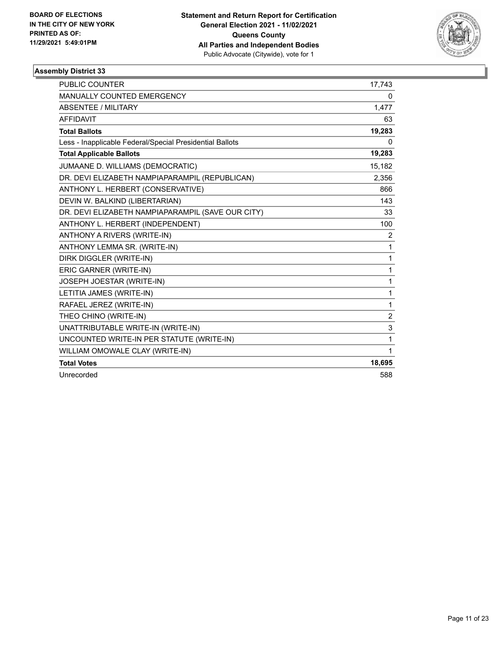

| <b>PUBLIC COUNTER</b>                                    | 17,743         |
|----------------------------------------------------------|----------------|
| MANUALLY COUNTED EMERGENCY                               | 0              |
| <b>ABSENTEE / MILITARY</b>                               | 1,477          |
| <b>AFFIDAVIT</b>                                         | 63             |
| <b>Total Ballots</b>                                     | 19,283         |
| Less - Inapplicable Federal/Special Presidential Ballots | 0              |
| <b>Total Applicable Ballots</b>                          | 19,283         |
| JUMAANE D. WILLIAMS (DEMOCRATIC)                         | 15,182         |
| DR. DEVI ELIZABETH NAMPIAPARAMPIL (REPUBLICAN)           | 2,356          |
| ANTHONY L. HERBERT (CONSERVATIVE)                        | 866            |
| DEVIN W. BALKIND (LIBERTARIAN)                           | 143            |
| DR. DEVI ELIZABETH NAMPIAPARAMPIL (SAVE OUR CITY)        | 33             |
| ANTHONY L. HERBERT (INDEPENDENT)                         | 100            |
| ANTHONY A RIVERS (WRITE-IN)                              | 2              |
| ANTHONY LEMMA SR. (WRITE-IN)                             | 1              |
| DIRK DIGGLER (WRITE-IN)                                  | 1              |
| ERIC GARNER (WRITE-IN)                                   | $\mathbf{1}$   |
| JOSEPH JOESTAR (WRITE-IN)                                | $\mathbf{1}$   |
| LETITIA JAMES (WRITE-IN)                                 | 1              |
| RAFAEL JEREZ (WRITE-IN)                                  | 1              |
| THEO CHINO (WRITE-IN)                                    | $\overline{c}$ |
| UNATTRIBUTABLE WRITE-IN (WRITE-IN)                       | 3              |
| UNCOUNTED WRITE-IN PER STATUTE (WRITE-IN)                | 1              |
| WILLIAM OMOWALE CLAY (WRITE-IN)                          | 1              |
| <b>Total Votes</b>                                       | 18,695         |
| Unrecorded                                               | 588            |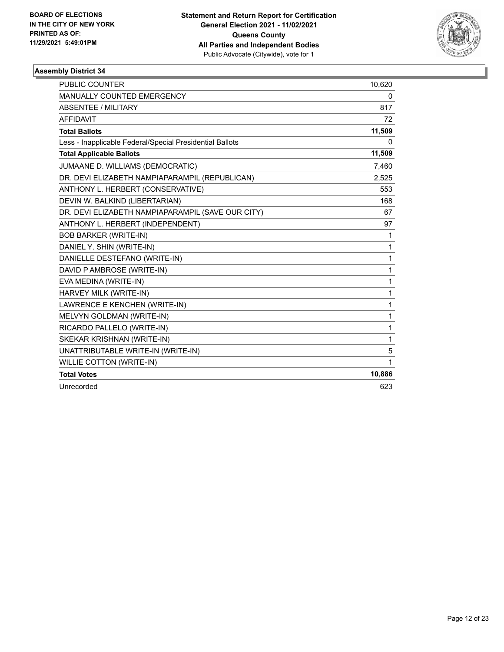

| PUBLIC COUNTER                                           | 10,620       |
|----------------------------------------------------------|--------------|
| MANUALLY COUNTED EMERGENCY                               | 0            |
| ABSENTEE / MILITARY                                      | 817          |
| <b>AFFIDAVIT</b>                                         | 72           |
| <b>Total Ballots</b>                                     | 11,509       |
| Less - Inapplicable Federal/Special Presidential Ballots | 0            |
| <b>Total Applicable Ballots</b>                          | 11,509       |
| JUMAANE D. WILLIAMS (DEMOCRATIC)                         | 7,460        |
| DR. DEVI ELIZABETH NAMPIAPARAMPIL (REPUBLICAN)           | 2,525        |
| ANTHONY L. HERBERT (CONSERVATIVE)                        | 553          |
| DEVIN W. BALKIND (LIBERTARIAN)                           | 168          |
| DR. DEVI ELIZABETH NAMPIAPARAMPIL (SAVE OUR CITY)        | 67           |
| ANTHONY L. HERBERT (INDEPENDENT)                         | 97           |
| <b>BOB BARKER (WRITE-IN)</b>                             | 1            |
| DANIEL Y. SHIN (WRITE-IN)                                | 1            |
| DANIELLE DESTEFANO (WRITE-IN)                            | $\mathbf{1}$ |
| DAVID P AMBROSE (WRITE-IN)                               | $\mathbf{1}$ |
| EVA MEDINA (WRITE-IN)                                    | 1            |
| HARVEY MILK (WRITE-IN)                                   | $\mathbf{1}$ |
| LAWRENCE E KENCHEN (WRITE-IN)                            | $\mathbf{1}$ |
| MELVYN GOLDMAN (WRITE-IN)                                | $\mathbf{1}$ |
| RICARDO PALLELO (WRITE-IN)                               | 1            |
| SKEKAR KRISHNAN (WRITE-IN)                               | 1            |
| UNATTRIBUTABLE WRITE-IN (WRITE-IN)                       | 5            |
| <b>WILLIE COTTON (WRITE-IN)</b>                          | 1            |
| <b>Total Votes</b>                                       | 10,886       |
| Unrecorded                                               | 623          |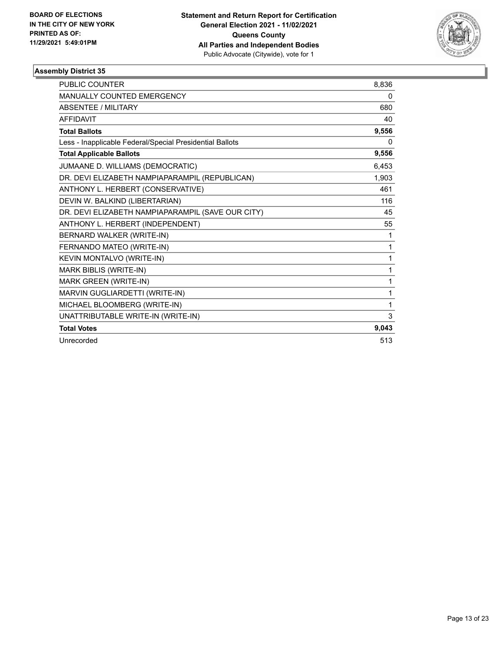

| <b>PUBLIC COUNTER</b>                                    | 8,836 |
|----------------------------------------------------------|-------|
| <b>MANUALLY COUNTED EMERGENCY</b>                        | 0     |
| <b>ABSENTEE / MILITARY</b>                               | 680   |
| <b>AFFIDAVIT</b>                                         | 40    |
| <b>Total Ballots</b>                                     | 9,556 |
| Less - Inapplicable Federal/Special Presidential Ballots | 0     |
| <b>Total Applicable Ballots</b>                          | 9,556 |
| JUMAANE D. WILLIAMS (DEMOCRATIC)                         | 6,453 |
| DR. DEVI ELIZABETH NAMPIAPARAMPIL (REPUBLICAN)           | 1,903 |
| ANTHONY L. HERBERT (CONSERVATIVE)                        | 461   |
| DEVIN W. BALKIND (LIBERTARIAN)                           | 116   |
| DR. DEVI ELIZABETH NAMPIAPARAMPIL (SAVE OUR CITY)        | 45    |
| ANTHONY L. HERBERT (INDEPENDENT)                         | 55    |
| BERNARD WALKER (WRITE-IN)                                | 1     |
| FERNANDO MATEO (WRITE-IN)                                | 1     |
| KEVIN MONTALVO (WRITE-IN)                                | 1     |
| MARK BIBLIS (WRITE-IN)                                   | 1     |
| MARK GREEN (WRITE-IN)                                    | 1     |
| MARVIN GUGLIARDETTI (WRITE-IN)                           | 1     |
| MICHAEL BLOOMBERG (WRITE-IN)                             | 1     |
| UNATTRIBUTABLE WRITE-IN (WRITE-IN)                       | 3     |
| <b>Total Votes</b>                                       | 9.043 |
| Unrecorded                                               | 513   |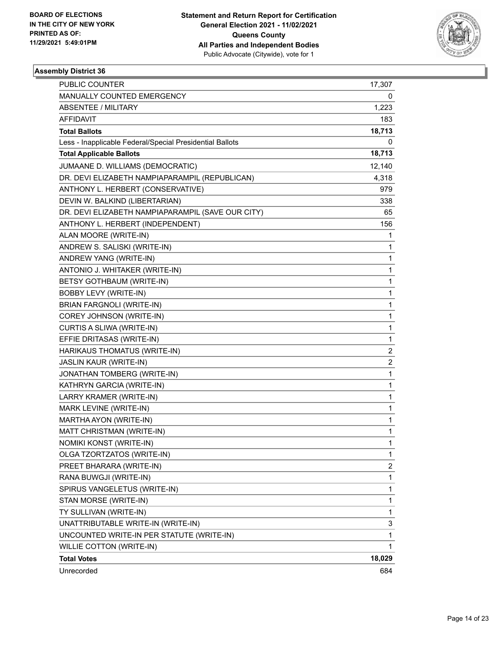

| <b>PUBLIC COUNTER</b>                                    | 17,307                  |
|----------------------------------------------------------|-------------------------|
| MANUALLY COUNTED EMERGENCY                               | 0                       |
| <b>ABSENTEE / MILITARY</b>                               | 1,223                   |
| AFFIDAVIT                                                | 183                     |
| <b>Total Ballots</b>                                     | 18,713                  |
| Less - Inapplicable Federal/Special Presidential Ballots | 0                       |
| <b>Total Applicable Ballots</b>                          | 18,713                  |
| JUMAANE D. WILLIAMS (DEMOCRATIC)                         | 12,140                  |
| DR. DEVI ELIZABETH NAMPIAPARAMPIL (REPUBLICAN)           | 4,318                   |
| ANTHONY L. HERBERT (CONSERVATIVE)                        | 979                     |
| DEVIN W. BALKIND (LIBERTARIAN)                           | 338                     |
| DR. DEVI ELIZABETH NAMPIAPARAMPIL (SAVE OUR CITY)        | 65                      |
| ANTHONY L. HERBERT (INDEPENDENT)                         | 156                     |
| ALAN MOORE (WRITE-IN)                                    | 1                       |
| ANDREW S. SALISKI (WRITE-IN)                             | 1                       |
| ANDREW YANG (WRITE-IN)                                   | 1                       |
| ANTONIO J. WHITAKER (WRITE-IN)                           | 1                       |
| BETSY GOTHBAUM (WRITE-IN)                                | 1                       |
| <b>BOBBY LEVY (WRITE-IN)</b>                             | 1                       |
| <b>BRIAN FARGNOLI (WRITE-IN)</b>                         | 1                       |
| COREY JOHNSON (WRITE-IN)                                 | 1                       |
| CURTIS A SLIWA (WRITE-IN)                                | 1                       |
| EFFIE DRITASAS (WRITE-IN)                                | 1                       |
| HARIKAUS THOMATUS (WRITE-IN)                             | 2                       |
| JASLIN KAUR (WRITE-IN)                                   | $\overline{\mathbf{c}}$ |
| JONATHAN TOMBERG (WRITE-IN)                              | 1                       |
| KATHRYN GARCIA (WRITE-IN)                                | 1                       |
| LARRY KRAMER (WRITE-IN)                                  | 1                       |
| MARK LEVINE (WRITE-IN)                                   | 1                       |
| MARTHA AYON (WRITE-IN)                                   | 1                       |
| MATT CHRISTMAN (WRITE-IN)                                | 1                       |
| NOMIKI KONST (WRITE-IN)                                  | 1                       |
| OLGA TZORTZATOS (WRITE-IN)                               | 1                       |
| PREET BHARARA (WRITE-IN)                                 | 2                       |
| RANA BUWGJI (WRITE-IN)                                   | 1                       |
| SPIRUS VANGELETUS (WRITE-IN)                             | 1                       |
| STAN MORSE (WRITE-IN)                                    | 1                       |
| TY SULLIVAN (WRITE-IN)                                   | 1                       |
| UNATTRIBUTABLE WRITE-IN (WRITE-IN)                       | 3                       |
| UNCOUNTED WRITE-IN PER STATUTE (WRITE-IN)                | 1                       |
| <b>WILLIE COTTON (WRITE-IN)</b>                          | 1                       |
| <b>Total Votes</b>                                       | 18,029                  |
| Unrecorded                                               | 684                     |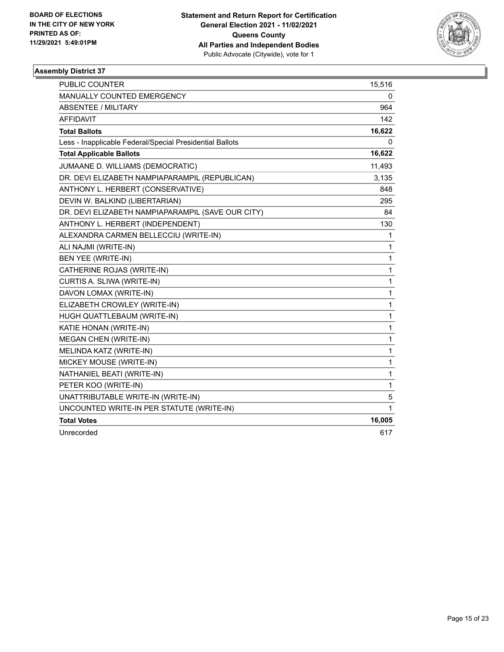

| <b>PUBLIC COUNTER</b>                                    | 15,516       |
|----------------------------------------------------------|--------------|
| MANUALLY COUNTED EMERGENCY                               | 0            |
| ABSENTEE / MILITARY                                      | 964          |
| <b>AFFIDAVIT</b>                                         | 142          |
| <b>Total Ballots</b>                                     | 16,622       |
| Less - Inapplicable Federal/Special Presidential Ballots | 0            |
| <b>Total Applicable Ballots</b>                          | 16,622       |
| JUMAANE D. WILLIAMS (DEMOCRATIC)                         | 11,493       |
| DR. DEVI ELIZABETH NAMPIAPARAMPIL (REPUBLICAN)           | 3,135        |
| ANTHONY L. HERBERT (CONSERVATIVE)                        | 848          |
| DEVIN W. BALKIND (LIBERTARIAN)                           | 295          |
| DR. DEVI ELIZABETH NAMPIAPARAMPIL (SAVE OUR CITY)        | 84           |
| ANTHONY L. HERBERT (INDEPENDENT)                         | 130          |
| ALEXANDRA CARMEN BELLECCIU (WRITE-IN)                    | 1            |
| ALI NAJMI (WRITE-IN)                                     | 1            |
| BEN YEE (WRITE-IN)                                       | 1            |
| CATHERINE ROJAS (WRITE-IN)                               | 1            |
| CURTIS A. SLIWA (WRITE-IN)                               | 1            |
| DAVON LOMAX (WRITE-IN)                                   | 1            |
| ELIZABETH CROWLEY (WRITE-IN)                             | 1            |
| HUGH QUATTLEBAUM (WRITE-IN)                              | 1            |
| KATIE HONAN (WRITE-IN)                                   | 1            |
| <b>MEGAN CHEN (WRITE-IN)</b>                             | 1            |
| MELINDA KATZ (WRITE-IN)                                  | 1            |
| MICKEY MOUSE (WRITE-IN)                                  | 1            |
| NATHANIEL BEATI (WRITE-IN)                               | $\mathbf{1}$ |
| PETER KOO (WRITE-IN)                                     | 1            |
| UNATTRIBUTABLE WRITE-IN (WRITE-IN)                       | 5            |
| UNCOUNTED WRITE-IN PER STATUTE (WRITE-IN)                | 1            |
| <b>Total Votes</b>                                       | 16,005       |
| Unrecorded                                               | 617          |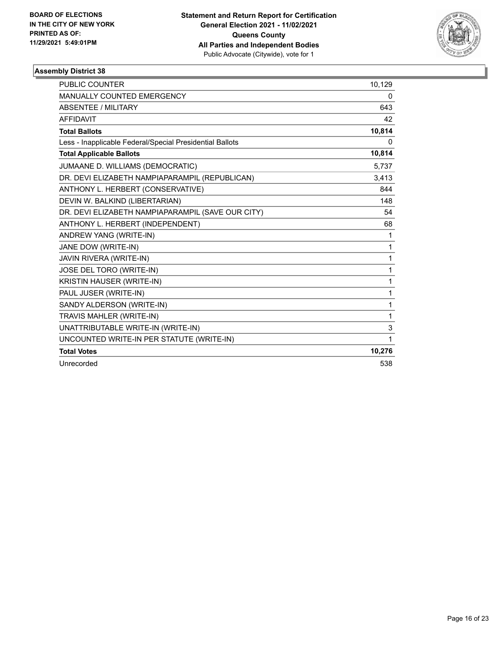

| <b>PUBLIC COUNTER</b>                                    | 10,129 |
|----------------------------------------------------------|--------|
| <b>MANUALLY COUNTED EMERGENCY</b>                        | 0      |
| ABSENTEE / MILITARY                                      | 643    |
| <b>AFFIDAVIT</b>                                         | 42     |
| <b>Total Ballots</b>                                     | 10,814 |
| Less - Inapplicable Federal/Special Presidential Ballots | 0      |
| <b>Total Applicable Ballots</b>                          | 10,814 |
| JUMAANE D. WILLIAMS (DEMOCRATIC)                         | 5,737  |
| DR. DEVI ELIZABETH NAMPIAPARAMPIL (REPUBLICAN)           | 3,413  |
| ANTHONY L. HERBERT (CONSERVATIVE)                        | 844    |
| DEVIN W. BALKIND (LIBERTARIAN)                           | 148    |
| DR. DEVI ELIZABETH NAMPIAPARAMPIL (SAVE OUR CITY)        | 54     |
| ANTHONY L. HERBERT (INDEPENDENT)                         | 68     |
| ANDREW YANG (WRITE-IN)                                   | 1      |
| JANE DOW (WRITE-IN)                                      | 1      |
| JAVIN RIVERA (WRITE-IN)                                  | 1      |
| JOSE DEL TORO (WRITE-IN)                                 | 1      |
| KRISTIN HAUSER (WRITE-IN)                                | 1      |
| PAUL JUSER (WRITE-IN)                                    | 1      |
| SANDY ALDERSON (WRITE-IN)                                | 1      |
| TRAVIS MAHLER (WRITE-IN)                                 | 1      |
| UNATTRIBUTABLE WRITE-IN (WRITE-IN)                       | 3      |
| UNCOUNTED WRITE-IN PER STATUTE (WRITE-IN)                | 1      |
| <b>Total Votes</b>                                       | 10,276 |
| Unrecorded                                               | 538    |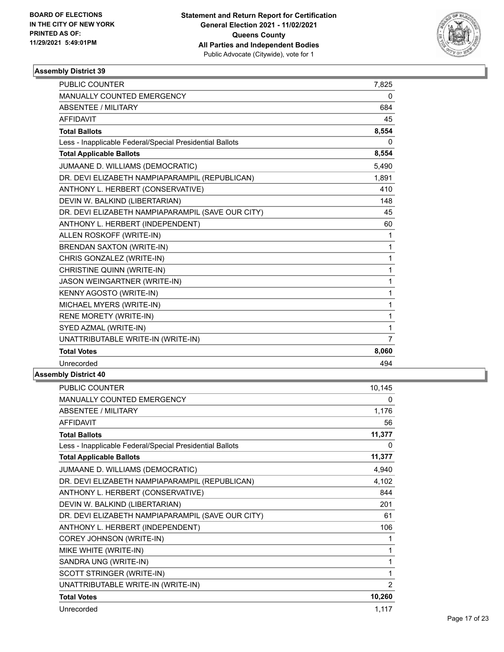

| <b>PUBLIC COUNTER</b>                                    | 7,825          |
|----------------------------------------------------------|----------------|
| MANUALLY COUNTED EMERGENCY                               | 0              |
| <b>ABSENTEE / MILITARY</b>                               | 684            |
| <b>AFFIDAVIT</b>                                         | 45             |
| <b>Total Ballots</b>                                     | 8,554          |
| Less - Inapplicable Federal/Special Presidential Ballots | 0              |
| <b>Total Applicable Ballots</b>                          | 8,554          |
| JUMAANE D. WILLIAMS (DEMOCRATIC)                         | 5,490          |
| DR. DEVI ELIZABETH NAMPIAPARAMPIL (REPUBLICAN)           | 1,891          |
| ANTHONY L. HERBERT (CONSERVATIVE)                        | 410            |
| DEVIN W. BALKIND (LIBERTARIAN)                           | 148            |
| DR. DEVI ELIZABETH NAMPIAPARAMPIL (SAVE OUR CITY)        | 45             |
| ANTHONY L. HERBERT (INDEPENDENT)                         | 60             |
| ALLEN ROSKOFF (WRITE-IN)                                 | 1              |
| BRENDAN SAXTON (WRITE-IN)                                | 1              |
| CHRIS GONZALEZ (WRITE-IN)                                | $\mathbf{1}$   |
| CHRISTINE QUINN (WRITE-IN)                               | $\mathbf{1}$   |
| JASON WEINGARTNER (WRITE-IN)                             | 1              |
| KENNY AGOSTO (WRITE-IN)                                  | 1              |
| MICHAEL MYERS (WRITE-IN)                                 | 1              |
| RENE MORETY (WRITE-IN)                                   | 1              |
| SYED AZMAL (WRITE-IN)                                    | 1              |
| UNATTRIBUTABLE WRITE-IN (WRITE-IN)                       | $\overline{7}$ |
| <b>Total Votes</b>                                       | 8,060          |
| Unrecorded                                               | 494            |

| PUBLIC COUNTER                                           | 10,145         |
|----------------------------------------------------------|----------------|
| <b>MANUALLY COUNTED EMERGENCY</b>                        | 0              |
| <b>ABSENTEE / MILITARY</b>                               | 1,176          |
| <b>AFFIDAVIT</b>                                         | 56             |
| <b>Total Ballots</b>                                     | 11,377         |
| Less - Inapplicable Federal/Special Presidential Ballots | 0              |
| <b>Total Applicable Ballots</b>                          | 11,377         |
| JUMAANE D. WILLIAMS (DEMOCRATIC)                         | 4,940          |
| DR. DEVI ELIZABETH NAMPIAPARAMPIL (REPUBLICAN)           | 4,102          |
| ANTHONY L. HERBERT (CONSERVATIVE)                        | 844            |
| DEVIN W. BALKIND (LIBERTARIAN)                           | 201            |
| DR. DEVI ELIZABETH NAMPIAPARAMPIL (SAVE OUR CITY)        | 61             |
| ANTHONY L. HERBERT (INDEPENDENT)                         | 106            |
| COREY JOHNSON (WRITE-IN)                                 | 1              |
| MIKE WHITE (WRITE-IN)                                    | $\mathbf{1}$   |
| SANDRA UNG (WRITE-IN)                                    | 1              |
| SCOTT STRINGER (WRITE-IN)                                | $\mathbf{1}$   |
| UNATTRIBUTABLE WRITE-IN (WRITE-IN)                       | $\overline{2}$ |
| <b>Total Votes</b>                                       | 10,260         |
| Unrecorded                                               | 1,117          |
|                                                          |                |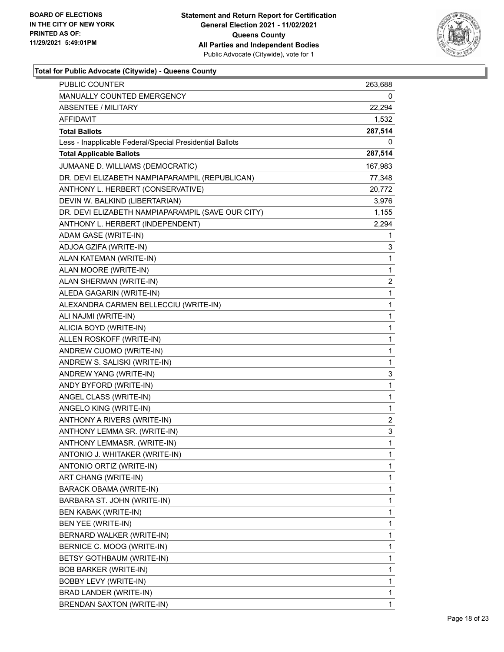

| <b>PUBLIC COUNTER</b>                                    | 263,688        |
|----------------------------------------------------------|----------------|
| MANUALLY COUNTED EMERGENCY                               | 0              |
| <b>ABSENTEE / MILITARY</b>                               | 22,294         |
| AFFIDAVIT                                                | 1,532          |
| <b>Total Ballots</b>                                     | 287,514        |
| Less - Inapplicable Federal/Special Presidential Ballots | 0              |
| <b>Total Applicable Ballots</b>                          | 287,514        |
| JUMAANE D. WILLIAMS (DEMOCRATIC)                         | 167,983        |
| DR. DEVI ELIZABETH NAMPIAPARAMPIL (REPUBLICAN)           | 77,348         |
| ANTHONY L. HERBERT (CONSERVATIVE)                        | 20,772         |
| DEVIN W. BALKIND (LIBERTARIAN)                           | 3,976          |
| DR. DEVI ELIZABETH NAMPIAPARAMPIL (SAVE OUR CITY)        | 1,155          |
| ANTHONY L. HERBERT (INDEPENDENT)                         | 2,294          |
| ADAM GASE (WRITE-IN)                                     | 1              |
| ADJOA GZIFA (WRITE-IN)                                   | 3              |
| ALAN KATEMAN (WRITE-IN)                                  | 1              |
| ALAN MOORE (WRITE-IN)                                    | 1              |
| ALAN SHERMAN (WRITE-IN)                                  | 2              |
| ALEDA GAGARIN (WRITE-IN)                                 | 1              |
| ALEXANDRA CARMEN BELLECCIU (WRITE-IN)                    | 1              |
| ALI NAJMI (WRITE-IN)                                     | 1              |
| ALICIA BOYD (WRITE-IN)                                   | 1              |
| ALLEN ROSKOFF (WRITE-IN)                                 | 1              |
| ANDREW CUOMO (WRITE-IN)                                  | 1              |
| ANDREW S. SALISKI (WRITE-IN)                             | 1              |
| ANDREW YANG (WRITE-IN)                                   | 3              |
| ANDY BYFORD (WRITE-IN)                                   | 1              |
| ANGEL CLASS (WRITE-IN)                                   | 1              |
| ANGELO KING (WRITE-IN)                                   | 1              |
| ANTHONY A RIVERS (WRITE-IN)                              | $\overline{2}$ |
| ANTHONY LEMMA SR. (WRITE-IN)                             | 3              |
| ANTHONY LEMMASR. (WRITE-IN)                              | 1              |
| ANTONIO J. WHITAKER (WRITE-IN)                           | 1              |
| ANTONIO ORTIZ (WRITE-IN)                                 | 1              |
| ART CHANG (WRITE-IN)                                     | 1              |
| BARACK OBAMA (WRITE-IN)                                  | 1              |
| BARBARA ST. JOHN (WRITE-IN)                              | 1              |
| BEN KABAK (WRITE-IN)                                     | 1              |
| BEN YEE (WRITE-IN)                                       | 1              |
| BERNARD WALKER (WRITE-IN)                                | 1              |
| BERNICE C. MOOG (WRITE-IN)                               | 1              |
| BETSY GOTHBAUM (WRITE-IN)                                | 1              |
| <b>BOB BARKER (WRITE-IN)</b>                             | 1              |
| BOBBY LEVY (WRITE-IN)                                    | 1              |
| BRAD LANDER (WRITE-IN)                                   | 1              |
| BRENDAN SAXTON (WRITE-IN)                                | 1              |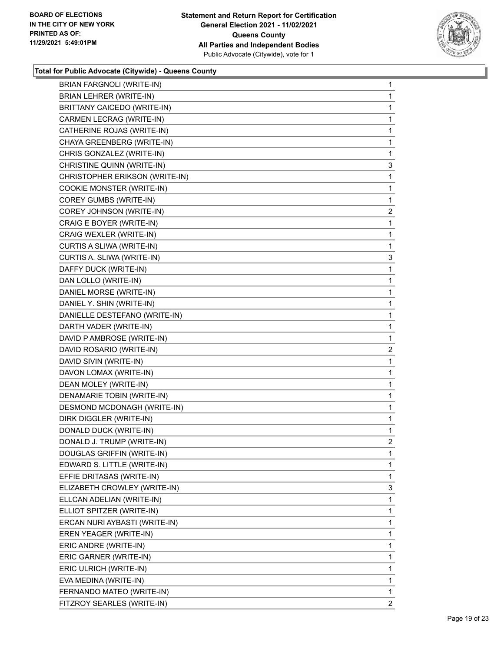

| BRIAN FARGNOLI (WRITE-IN)      | $\mathbf{1}$   |
|--------------------------------|----------------|
| BRIAN LEHRER (WRITE-IN)        | 1              |
| BRITTANY CAICEDO (WRITE-IN)    | 1              |
| CARMEN LECRAG (WRITE-IN)       | 1              |
| CATHERINE ROJAS (WRITE-IN)     | 1              |
| CHAYA GREENBERG (WRITE-IN)     | 1              |
| CHRIS GONZALEZ (WRITE-IN)      | 1              |
| CHRISTINE QUINN (WRITE-IN)     | 3              |
| CHRISTOPHER ERIKSON (WRITE-IN) | 1              |
| COOKIE MONSTER (WRITE-IN)      | 1              |
| COREY GUMBS (WRITE-IN)         | 1              |
| COREY JOHNSON (WRITE-IN)       | $\mathbf{2}$   |
| CRAIG E BOYER (WRITE-IN)       | 1              |
| CRAIG WEXLER (WRITE-IN)        | 1              |
| CURTIS A SLIWA (WRITE-IN)      | 1              |
| CURTIS A. SLIWA (WRITE-IN)     | 3              |
| DAFFY DUCK (WRITE-IN)          | 1              |
| DAN LOLLO (WRITE-IN)           | 1              |
| DANIEL MORSE (WRITE-IN)        | 1              |
| DANIEL Y. SHIN (WRITE-IN)      | 1              |
| DANIELLE DESTEFANO (WRITE-IN)  | 1              |
| DARTH VADER (WRITE-IN)         | 1              |
| DAVID P AMBROSE (WRITE-IN)     | 1              |
| DAVID ROSARIO (WRITE-IN)       | $\mathbf{2}$   |
| DAVID SIVIN (WRITE-IN)         | 1              |
| DAVON LOMAX (WRITE-IN)         | 1              |
| DEAN MOLEY (WRITE-IN)          | 1              |
| DENAMARIE TOBIN (WRITE-IN)     | 1              |
| DESMOND MCDONAGH (WRITE-IN)    | 1              |
| DIRK DIGGLER (WRITE-IN)        | 1              |
| DONALD DUCK (WRITE-IN)         | 1              |
| DONALD J. TRUMP (WRITE-IN)     | $\overline{2}$ |
| DOUGLAS GRIFFIN (WRITE-IN)     | 1              |
| EDWARD S. LITTLE (WRITE-IN)    | 1              |
| EFFIE DRITASAS (WRITE-IN)      | 1              |
| ELIZABETH CROWLEY (WRITE-IN)   | 3              |
| ELLCAN ADELIAN (WRITE-IN)      | 1              |
| ELLIOT SPITZER (WRITE-IN)      | 1              |
| ERCAN NURI AYBASTI (WRITE-IN)  | 1              |
| EREN YEAGER (WRITE-IN)         | 1              |
| ERIC ANDRE (WRITE-IN)          | 1              |
| ERIC GARNER (WRITE-IN)         | 1              |
| ERIC ULRICH (WRITE-IN)         | 1              |
| EVA MEDINA (WRITE-IN)          | 1              |
| FERNANDO MATEO (WRITE-IN)      | 1              |
| FITZROY SEARLES (WRITE-IN)     | 2              |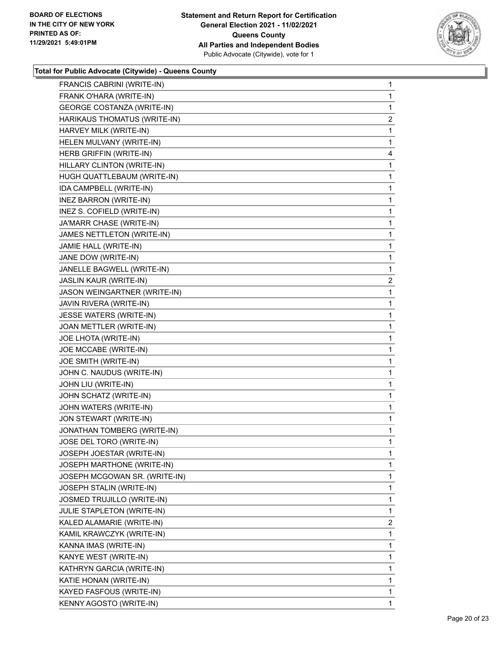

| FRANCIS CABRINI (WRITE-IN)        | $\mathbf{1}$ |
|-----------------------------------|--------------|
| FRANK O'HARA (WRITE-IN)           | 1            |
| <b>GEORGE COSTANZA (WRITE-IN)</b> | 1            |
| HARIKAUS THOMATUS (WRITE-IN)      | 2            |
| HARVEY MILK (WRITE-IN)            | 1            |
| HELEN MULVANY (WRITE-IN)          | 1            |
| HERB GRIFFIN (WRITE-IN)           | 4            |
| HILLARY CLINTON (WRITE-IN)        | 1            |
| HUGH QUATTLEBAUM (WRITE-IN)       | 1            |
| IDA CAMPBELL (WRITE-IN)           | 1            |
| INEZ BARRON (WRITE-IN)            | 1            |
| INEZ S. COFIELD (WRITE-IN)        | 1            |
| JA'MARR CHASE (WRITE-IN)          | 1            |
| JAMES NETTLETON (WRITE-IN)        | 1            |
| JAMIE HALL (WRITE-IN)             | 1            |
| JANE DOW (WRITE-IN)               | 1            |
| JANELLE BAGWELL (WRITE-IN)        | 1            |
| JASLIN KAUR (WRITE-IN)            | 2            |
| JASON WEINGARTNER (WRITE-IN)      | 1            |
| JAVIN RIVERA (WRITE-IN)           | 1            |
| JESSE WATERS (WRITE-IN)           | 1            |
| JOAN METTLER (WRITE-IN)           | 1            |
| JOE LHOTA (WRITE-IN)              | 1            |
| JOE MCCABE (WRITE-IN)             | 1            |
| JOE SMITH (WRITE-IN)              | 1            |
| JOHN C. NAUDUS (WRITE-IN)         | 1            |
| JOHN LIU (WRITE-IN)               | 1            |
| JOHN SCHATZ (WRITE-IN)            | 1            |
| JOHN WATERS (WRITE-IN)            | 1            |
| JON STEWART (WRITE-IN)            | 1            |
| JONATHAN TOMBERG (WRITE-IN)       | $\mathbf 1$  |
| JOSE DEL TORO (WRITE-IN)          | 1            |
| JOSEPH JOESTAR (WRITE-IN)         | 1            |
| JOSEPH MARTHONE (WRITE-IN)        | 1            |
| JOSEPH MCGOWAN SR. (WRITE-IN)     | 1            |
| JOSEPH STALIN (WRITE-IN)          | $\mathbf 1$  |
| JOSMED TRUJILLO (WRITE-IN)        | 1            |
| JULIE STAPLETON (WRITE-IN)        | 1            |
| KALED ALAMARIE (WRITE-IN)         | 2            |
| KAMIL KRAWCZYK (WRITE-IN)         | 1            |
| KANNA IMAS (WRITE-IN)             | 1            |
| KANYE WEST (WRITE-IN)             | 1            |
| KATHRYN GARCIA (WRITE-IN)         | 1            |
| KATIE HONAN (WRITE-IN)            | 1            |
| KAYED FASFOUS (WRITE-IN)          | $\mathbf{1}$ |
| KENNY AGOSTO (WRITE-IN)           | 1            |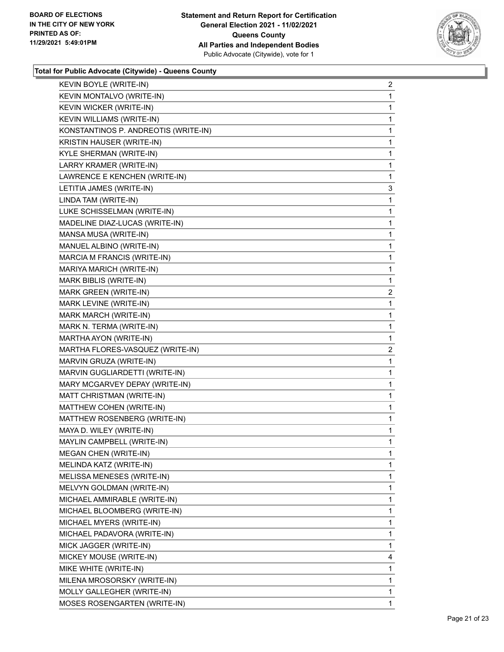

| KEVIN BOYLE (WRITE-IN)               | $\overline{a}$ |
|--------------------------------------|----------------|
| KEVIN MONTALVO (WRITE-IN)            | 1              |
| KEVIN WICKER (WRITE-IN)              | 1              |
| KEVIN WILLIAMS (WRITE-IN)            | 1              |
| KONSTANTINOS P. ANDREOTIS (WRITE-IN) | 1              |
| KRISTIN HAUSER (WRITE-IN)            | 1              |
| KYLE SHERMAN (WRITE-IN)              | 1              |
| LARRY KRAMER (WRITE-IN)              | 1              |
| LAWRENCE E KENCHEN (WRITE-IN)        | 1              |
| LETITIA JAMES (WRITE-IN)             | 3              |
| LINDA TAM (WRITE-IN)                 | 1              |
| LUKE SCHISSELMAN (WRITE-IN)          | 1              |
| MADELINE DIAZ-LUCAS (WRITE-IN)       | 1              |
| MANSA MUSA (WRITE-IN)                | 1              |
| MANUEL ALBINO (WRITE-IN)             | 1              |
| MARCIA M FRANCIS (WRITE-IN)          | 1              |
| MARIYA MARICH (WRITE-IN)             | 1              |
| MARK BIBLIS (WRITE-IN)               | 1              |
| MARK GREEN (WRITE-IN)                | $\overline{c}$ |
| MARK LEVINE (WRITE-IN)               | 1              |
| MARK MARCH (WRITE-IN)                | 1              |
| MARK N. TERMA (WRITE-IN)             | 1              |
| MARTHA AYON (WRITE-IN)               | 1              |
| MARTHA FLORES-VASQUEZ (WRITE-IN)     | 2              |
| MARVIN GRUZA (WRITE-IN)              | 1              |
| MARVIN GUGLIARDETTI (WRITE-IN)       | 1              |
| MARY MCGARVEY DEPAY (WRITE-IN)       | 1              |
| MATT CHRISTMAN (WRITE-IN)            | 1              |
| MATTHEW COHEN (WRITE-IN)             | 1              |
| MATTHEW ROSENBERG (WRITE-IN)         | 1              |
| MAYA D. WILEY (WRITE-IN)             | 1              |
| MAYLIN CAMPBELL (WRITE-IN)           | 1              |
| <b>MEGAN CHEN (WRITE-IN)</b>         | 1              |
| MELINDA KATZ (WRITE-IN)              | 1              |
| MELISSA MENESES (WRITE-IN)           | 1              |
| MELVYN GOLDMAN (WRITE-IN)            | 1              |
| MICHAEL AMMIRABLE (WRITE-IN)         | 1              |
| MICHAEL BLOOMBERG (WRITE-IN)         | 1              |
| MICHAEL MYERS (WRITE-IN)             | 1              |
| MICHAEL PADAVORA (WRITE-IN)          | 1              |
| MICK JAGGER (WRITE-IN)               | 1              |
| MICKEY MOUSE (WRITE-IN)              | 4              |
| MIKE WHITE (WRITE-IN)                | 1              |
| MILENA MROSORSKY (WRITE-IN)          | 1              |
| MOLLY GALLEGHER (WRITE-IN)           | 1              |
| MOSES ROSENGARTEN (WRITE-IN)         | 1.             |
|                                      |                |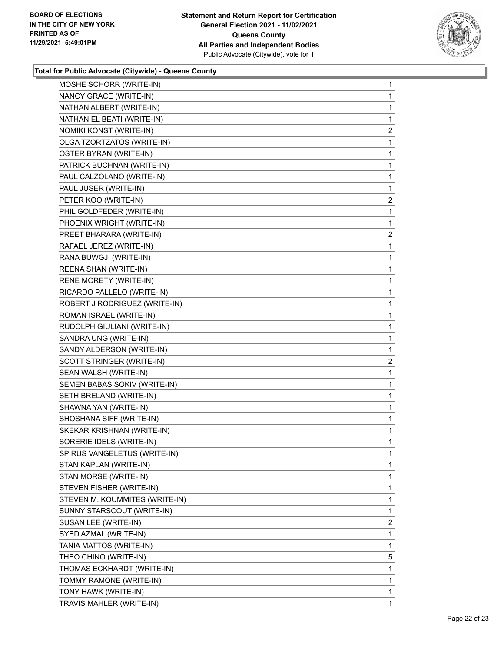

| MOSHE SCHORR (WRITE-IN)        | 1              |
|--------------------------------|----------------|
| NANCY GRACE (WRITE-IN)         | 1              |
| NATHAN ALBERT (WRITE-IN)       | 1              |
| NATHANIEL BEATI (WRITE-IN)     | 1              |
| NOMIKI KONST (WRITE-IN)        | 2              |
| OLGA TZORTZATOS (WRITE-IN)     | 1              |
| OSTER BYRAN (WRITE-IN)         | 1              |
| PATRICK BUCHNAN (WRITE-IN)     | 1              |
| PAUL CALZOLANO (WRITE-IN)      | 1              |
| PAUL JUSER (WRITE-IN)          | 1              |
| PETER KOO (WRITE-IN)           | 2              |
| PHIL GOLDFEDER (WRITE-IN)      | 1              |
| PHOENIX WRIGHT (WRITE-IN)      | 1              |
| PREET BHARARA (WRITE-IN)       | $\overline{2}$ |
| RAFAEL JEREZ (WRITE-IN)        | 1              |
| RANA BUWGJI (WRITE-IN)         | 1              |
| REENA SHAN (WRITE-IN)          | 1              |
| RENE MORETY (WRITE-IN)         | 1              |
| RICARDO PALLELO (WRITE-IN)     | 1              |
| ROBERT J RODRIGUEZ (WRITE-IN)  | 1              |
| ROMAN ISRAEL (WRITE-IN)        | 1              |
| RUDOLPH GIULIANI (WRITE-IN)    | 1              |
| SANDRA UNG (WRITE-IN)          | 1              |
| SANDY ALDERSON (WRITE-IN)      | 1              |
| SCOTT STRINGER (WRITE-IN)      | $\overline{a}$ |
| SEAN WALSH (WRITE-IN)          | 1              |
| SEMEN BABASISOKIV (WRITE-IN)   | 1              |
| SETH BRELAND (WRITE-IN)        | 1              |
| SHAWNA YAN (WRITE-IN)          | 1              |
| SHOSHANA SIFF (WRITE-IN)       | 1              |
| SKEKAR KRISHNAN (WRITE-IN)     | 1              |
| SORERIE IDELS (WRITE-IN)       | 1              |
| SPIRUS VANGELETUS (WRITE-IN)   | 1              |
| STAN KAPLAN (WRITE-IN)         | 1              |
| STAN MORSE (WRITE-IN)          | 1              |
| STEVEN FISHER (WRITE-IN)       | 1              |
| STEVEN M. KOUMMITES (WRITE-IN) | 1              |
| SUNNY STARSCOUT (WRITE-IN)     | 1              |
| SUSAN LEE (WRITE-IN)           | 2              |
| SYED AZMAL (WRITE-IN)          | 1              |
| TANIA MATTOS (WRITE-IN)        | 1              |
| THEO CHINO (WRITE-IN)          | 5              |
| THOMAS ECKHARDT (WRITE-IN)     | 1              |
| TOMMY RAMONE (WRITE-IN)        | 1              |
| TONY HAWK (WRITE-IN)           | 1              |
| TRAVIS MAHLER (WRITE-IN)       | 1              |
|                                |                |